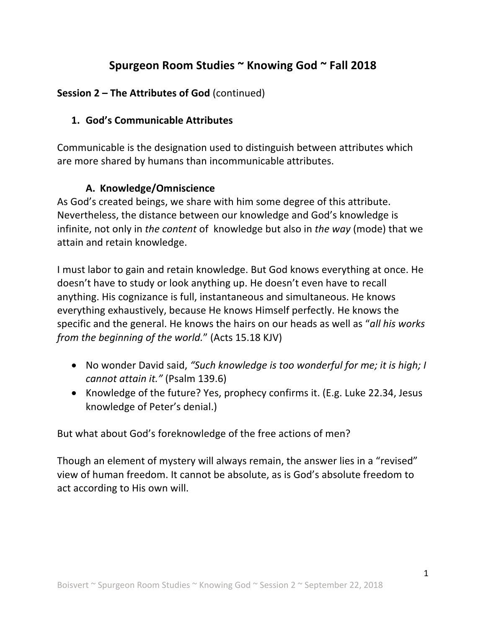# Spurgeon Room Studies ~ Knowing God ~ Fall 2018

## **Session 2 – The Attributes of God** (continued)

### **1. God's Communicable Attributes**

Communicable is the designation used to distinguish between attributes which are more shared by humans than incommunicable attributes.

### **A. Knowledge/Omniscience**

As God's created beings, we share with him some degree of this attribute. Nevertheless, the distance between our knowledge and God's knowledge is infinite, not only in *the content* of knowledge but also in *the way* (mode) that we attain and retain knowledge.

I must labor to gain and retain knowledge. But God knows everything at once. He doesn't have to study or look anything up. He doesn't even have to recall anything. His cognizance is full, instantaneous and simultaneous. He knows everything exhaustively, because He knows Himself perfectly. He knows the specific and the general. He knows the hairs on our heads as well as "*all his works from the beginning of the world."* (Acts 15.18 KJV)

- No wonder David said, "Such knowledge is too wonderful for me; it is high; I *cannot attain it."* (Psalm 139.6)
- Knowledge of the future? Yes, prophecy confirms it. (E.g. Luke 22.34, Jesus knowledge of Peter's denial.)

But what about God's foreknowledge of the free actions of men?

Though an element of mystery will always remain, the answer lies in a "revised" view of human freedom. It cannot be absolute, as is God's absolute freedom to act according to His own will.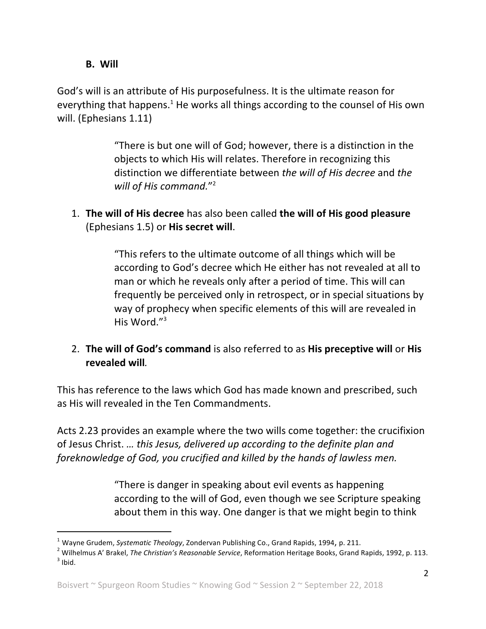### **B. Will**

God's will is an attribute of His purposefulness. It is the ultimate reason for everything that happens.<sup>1</sup> He works all things according to the counsel of His own will. (Ephesians 1.11)

> "There is but one will of God; however, there is a distinction in the objects to which His will relates. Therefore in recognizing this distinction we differentiate between *the will of His decree* and *the will of His command.*"2

1. **The will of His decree** has also been called the will of His good pleasure (Ephesians 1.5) or **His secret will**. 

> "This refers to the ultimate outcome of all things which will be according to God's decree which He either has not revealed at all to man or which he reveals only after a period of time. This will can frequently be perceived only in retrospect, or in special situations by way of prophecy when specific elements of this will are revealed in His Word."<sup>3</sup>

2. The will of God's command is also referred to as His preceptive will or His **revealed will***.*

This has reference to the laws which God has made known and prescribed, such as His will revealed in the Ten Commandments.

Acts 2.23 provides an example where the two wills come together: the crucifixion of Jesus Christ. ... this Jesus, delivered up according to the definite plan and foreknowledge of God, you crucified and killed by the hands of lawless men.

> "There is danger in speaking about evil events as happening according to the will of God, even though we see Scripture speaking about them in this way. One danger is that we might begin to think

 

<sup>&</sup>lt;sup>1</sup> Wayne Grudem, Systematic Theology, Zondervan Publishing Co., Grand Rapids, 1994, p. 211.<br><sup>2</sup> Wilhelmus A' Brakel, *The Christian's Reasonable Service*, Reformation Heritage Books, Grand Rapids, 1992, p. 113.<br><sup>3</sup> Ihid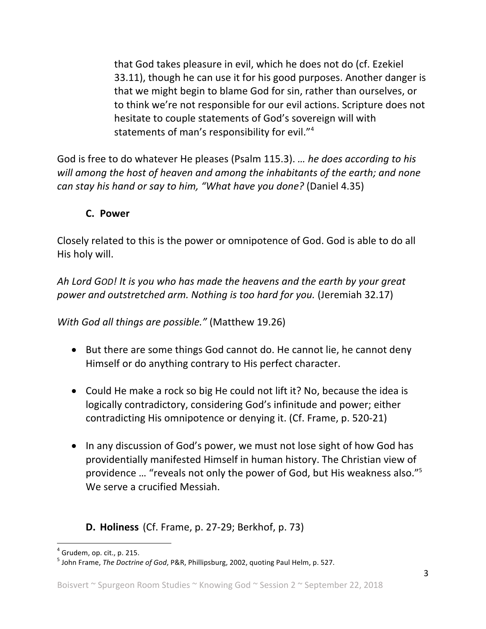that God takes pleasure in evil, which he does not do (cf. Ezekiel 33.11), though he can use it for his good purposes. Another danger is that we might begin to blame God for sin, rather than ourselves, or to think we're not responsible for our evil actions. Scripture does not hesitate to couple statements of God's sovereign will with statements of man's responsibility for evil." $4$ 

God is free to do whatever He pleases (Psalm 115.3). ... he does according to his will among the host of heaven and among the *inhabitants* of the earth; and none *can stay his hand or say to him, "What have you done?* (Daniel 4.35)

#### **C. Power**

Closely related to this is the power or omnipotence of God. God is able to do all His holy will.

Ah Lord GOD! It is you who has made the heavens and the earth by your great *power and outstretched arm. Nothing is too hard for you.* (Jeremiah 32.17)

*With God all things are possible."* (Matthew 19.26)

- But there are some things God cannot do. He cannot lie, he cannot deny Himself or do anything contrary to His perfect character.
- Could He make a rock so big He could not lift it? No, because the idea is logically contradictory, considering God's infinitude and power; either contradicting His omnipotence or denying it. (Cf. Frame, p. 520-21)
- In any discussion of God's power, we must not lose sight of how God has providentially manifested Himself in human history. The Christian view of providence ... "reveals not only the power of God, but His weakness also."<sup>5</sup> We serve a crucified Messiah.

**D. Holiness** (Cf. Frame, p. 27-29; Berkhof, p. 73)

 $<sup>4</sup>$  Grudem, op. cit., p. 215.</sup>

<sup>&</sup>lt;sup>5</sup> John Frame, *The Doctrine of God*, P&R, Phillipsburg, 2002, quoting Paul Helm, p. 527.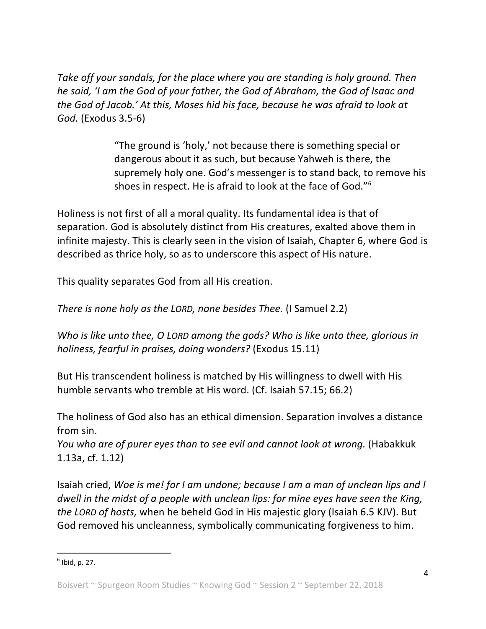Take off your sandals, for the place where you are standing is holy ground. Then *he said, 'I* am the God of your father, the God of Abraham, the God of Isaac and *the God of Jacob.'* At this, Moses hid his face, because he was afraid to look at *God.* (Exodus 3.5-6)

> "The ground is 'holy,' not because there is something special or dangerous about it as such, but because Yahweh is there, the supremely holy one. God's messenger is to stand back, to remove his shoes in respect. He is afraid to look at the face of God." $6$

Holiness is not first of all a moral quality. Its fundamental idea is that of separation. God is absolutely distinct from His creatures, exalted above them in infinite majesty. This is clearly seen in the vision of Isaiah, Chapter 6, where God is described as thrice holy, so as to underscore this aspect of His nature.

This quality separates God from all His creation.

*There is none holy as the LORD, none besides Thee.* (I Samuel 2.2)

*Who is like unto thee, O LORD among the gods? Who is like unto thee, glorious in holiness, fearful in praises, doing wonders?* (Exodus 15.11)

But His transcendent holiness is matched by His willingness to dwell with His humble servants who tremble at His word. (Cf. Isaiah 57.15; 66.2)

The holiness of God also has an ethical dimension. Separation involves a distance from sin.

*You who are of purer eyes than to see evil and cannot look at wrong.* (Habakkuk 1.13a,  $cf. 1.12$ 

Isaiah cried, *Woe is me!* for I am undone; because I am a man of unclean lips and I *dwell in the midst of a people with unclean lips: for mine eyes have seen the King, the LORD of hosts,* when he beheld God in His majestic glory (Isaiah 6.5 KJV). But God removed his uncleanness, symbolically communicating forgiveness to him.

 $<sup>6</sup>$  Ibid, p. 27.</sup>